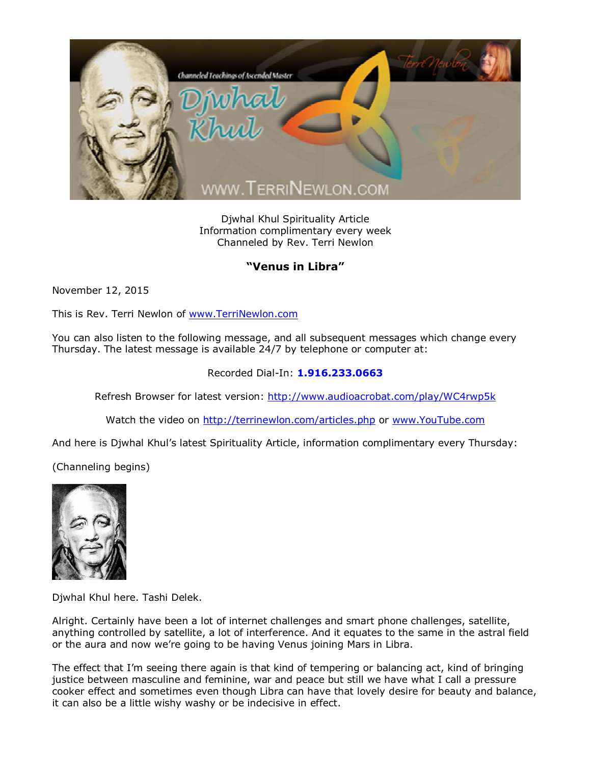

Djwhal Khul Spirituality Article Information complimentary every week Channeled by Rev. Terri Newlon

## **"Venus in Libra"**

November 12, 2015

This is Rev. Terri Newlon of [www.TerriNewlon.com](http://www.terrinewlon.com/)

You can also listen to the following message, and all subsequent messages which change every Thursday. The latest message is available 24/7 by telephone or computer at:

## Recorded Dial-In: **1.916.233.0663**

Refresh Browser for latest version: <http://www.audioacrobat.com/play/WC4rwp5k>

Watch the video on <http://terrinewlon.com/articles.php> or [www.YouTube.com](http://www.youtube.com/)

And here is Djwhal Khul's latest Spirituality Article, information complimentary every Thursday:

(Channeling begins)



Djwhal Khul here. Tashi Delek.

Alright. Certainly have been a lot of internet challenges and smart phone challenges, satellite, anything controlled by satellite, a lot of interference. And it equates to the same in the astral field or the aura and now we're going to be having Venus joining Mars in Libra.

The effect that I'm seeing there again is that kind of tempering or balancing act, kind of bringing justice between masculine and feminine, war and peace but still we have what I call a pressure cooker effect and sometimes even though Libra can have that lovely desire for beauty and balance, it can also be a little wishy washy or be indecisive in effect.